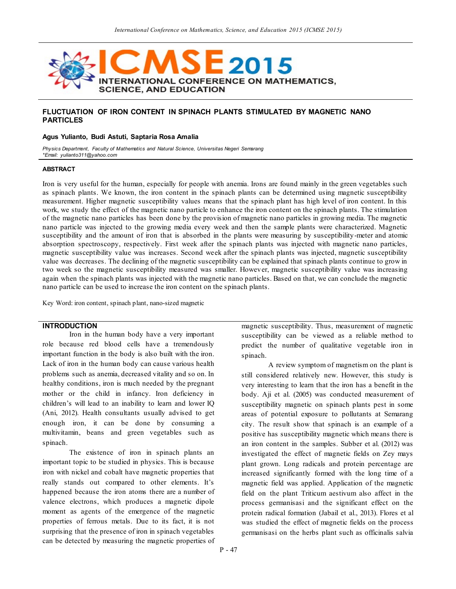

# **FLUCTUATION OF IRON CONTENT IN SPINACH PLANTS STIMULATED BY MAGNETIC NANO PARTICLES**

#### **Agus Yulianto, Budi Astuti, Saptaria Rosa Amalia**

*Physics Department, Faculty of Mathematics and Natural Science, Universitas Negeri Semarang \*Email: yulianto311@yahoo.com*

#### **ABSTRACT**

Iron is very useful for the human, especially for people with anemia. Irons are found mainly in the green vegetables such as spinach plants. We known, the iron content in the spinach plants can be determined using magnetic susceptibility measurement. Higher magnetic susceptibility values means that the spinach plant has high level of iron content. In this work, we study the effect of the magnetic nano particle to enhance the iron content on the spinach plants. The stimulation of the magnetic nano particles has been done by the provision of magnetic nano particles in growing media. The magnetic nano particle was injected to the growing media every week and then the sample plants were characterized. Magnetic susceptibility and the amount of iron that is absorbed in the plants were measuring by susceptibility-meter and atomic absorption spectroscopy, respectively. First week after the spinach plants was injected with magnetic nano particles, magnetic susceptibility value was increases. Second week after the spinach plants was injected, magnetic susceptibility value was decreases. The declining of the magnetic susceptibility can be explained that spinach plants continue to grow in two week so the magnetic susceptibility measured was smaller. However, magnetic susceptibility value was increasing again when the spinach plants was injected with the magnetic nano particles. Based on that, we can conclude the magnetic nano particle can be used to increase the iron content on the spinach plants.

Key Word: iron content, spinach plant, nano-sized magnetic

#### **INTRODUCTION**

Iron in the human body have a very important role because red blood cells have a tremendously important function in the body is also built with the iron. Lack of iron in the human body can cause various health problems such as anemia, decreased vitality and so on. In healthy conditions, iron is much needed by the pregnant mother or the child in infancy. Iron deficiency in children's will lead to an inability to learn and lower IQ (Ani, 2012). Health consultants usually advised to get enough iron, it can be done by consuming a multivitamin, beans and green vegetables such as spinach.

The existence of iron in spinach plants an important topic to be studied in physics. This is because iron with nickel and cobalt have magnetic properties that really stands out compared to other elements. It's happened because the iron atoms there are a number of valence electrons, which produces a magnetic dipole moment as agents of the emergence of the magnetic properties of ferrous metals. Due to its fact, it is not surprising that the presence of iron in spinach vegetables can be detected by measuring the magnetic properties of

magnetic susceptibility. Thus, measurement of magnetic susceptibility can be viewed as a reliable method to predict the number of qualitative vegetable iron in spinach.

A review symptom of magnetism on the plant is still considered relatively new. However, this study is very interesting to learn that the iron has a benefit in the body. Aji et al. (2005) was conducted measurement of susceptibility magnetic on spinach plants pest in some areas of potential exposure to pollutants at Semarang city. The result show that spinach is an example of a positive has susceptibility magnetic which means there is an iron content in the samples. Subber et al. (2012) was investigated the effect of magnetic fields on Zey mays plant grown. Long radicals and protein percentage are increased significantly formed with the long time of a magnetic field was applied. Application of the magnetic field on the plant Triticum aestivum also affect in the process germanisasi and the significant effect on the protein radical formation (Jabail et al., 2013). Flores et al was studied the effect of magnetic fields on the process germanisasi on the herbs plant such as officinalis salvia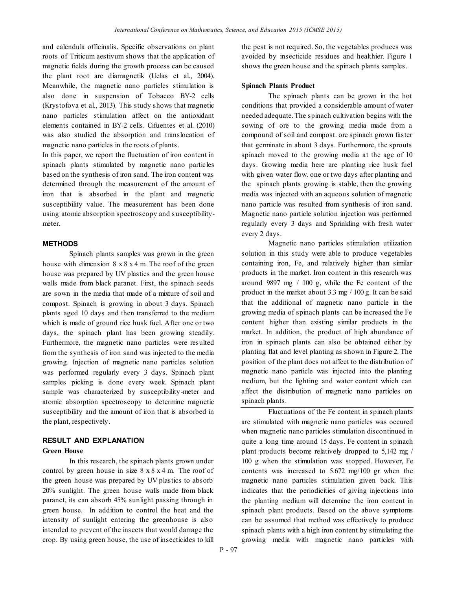and calendula officinalis. Specific observations on plant roots of Triticum aestivum shows that the application of magnetic fields during the growth process can be caused the plant root are diamagnetik (Uelas et al., 2004). Meanwhile, the magnetic nano particles stimulation is also done in suspension of Tobacco BY-2 cells (Krystofova et al., 2013). This study shows that magnetic nano particles stimulation affect on the antioxidant elements contained in BY-2 cells. Cifuentes et al. (2010) was also studied the absorption and translocation of magnetic nano particles in the roots of plants.

In this paper, we report the fluctuation of iron content in spinach plants stimulated by magnetic nano particles based on the synthesis of iron sand. The iron content was determined through the measurement of the amount of iron that is absorbed in the plant and magnetic susceptibility value. The measurement has been done using atomic absorption spectroscopy and susceptibilitymeter.

#### **METHODS**

Spinach plants samples was grown in the green house with dimension  $8 \times 8 \times 4$  m. The roof of the green house was prepared by UV plastics and the green house walls made from black paranet. First, the spinach seeds are sown in the media that made of a mixture of soil and compost. Spinach is growing in about 3 days. Spinach plants aged 10 days and then transferred to the medium which is made of ground rice husk fuel. After one or two days, the spinach plant has been growing steadily. Furthermore, the magnetic nano particles were resulted from the synthesis of iron sand was injected to the media growing. Injection of magnetic nano particles solution was performed regularly every 3 days. Spinach plant samples picking is done every week. Spinach plant sample was characterized by susceptibility-meter and atomic absorption spectroscopy to determine magnetic susceptibility and the amount of iron that is absorbed in the plant, respectively.

### **RESULT AND EXPLANATION**

#### **Green House**

In this research, the spinach plants grown under control by green house in size  $8 \times 8 \times 4$  m. The roof of the green house was prepared by UV plastics to absorb 20% sunlight. The green house walls made from black paranet, its can absorb 45% sunlight passing through in green house. In addition to control the heat and the intensity of sunlight entering the greenhouse is also intended to prevent of the insects that would damage the crop. By using green house, the use of insecticides to kill the pest is not required. So, the vegetables produces was avoided by insecticide residues and healthier. Figure 1 shows the green house and the spinach plants samples.

#### **Spinach Plants Product**

The spinach plants can be grown in the hot conditions that provided a considerable amount of water needed adequate. The spinach cultivation begins with the sowing of ore to the growing media made from a compound of soil and compost. ore spinach grown faster that germinate in about 3 days. Furthermore, the sprouts spinach moved to the growing media at the age of 10 days. Growing media here are planting rice husk fuel with given water flow, one or two days after planting and the spinach plants growing is stable, then the growing media was injected with an aqueous solution of magnetic nano particle was resulted from synthesis of iron sand. Magnetic nano particle solution injection was performed regularly every 3 days and Sprinkling with fresh water every 2 days.

Magnetic nano particles stimulation utilization solution in this study were able to produce vegetables containing iron, Fe, and relatively higher than similar products in the market. Iron content in this research was around 9897 mg / 100 g, while the Fe content of the product in the market about 3.3 mg / 100 g. It can be said that the additional of magnetic nano particle in the growing media of spinach plants can be increased the Fe content higher than existing similar products in the market. In addition, the product of high abundance of iron in spinach plants can also be obtained either by planting flat and level planting as shown in Figure 2. The position of the plant does not affect to the distribution of magnetic nano particle was injected into the planting medium, but the lighting and water content which can affect the distribution of magnetic nano particles on spinach plants.

Fluctuations of the Fe content in spinach plants are stimulated with magnetic nano particles was occured when magnetic nano particles stimulation discontinued in quite a long time around 15 days. Fe content in spinach plant products become relatively dropped to 5,142 mg / 100 g when the stimulation was stopped. However, Fe contents was increased to 5.672 mg/100 gr when the magnetic nano particles stimulation given back. This indicates that the periodicities of giving injections into the planting medium will determine the iron content in spinach plant products. Based on the above symptoms can be assumed that method was effectively to produce spinach plants with a high iron content by stimulating the growing media with magnetic nano particles with